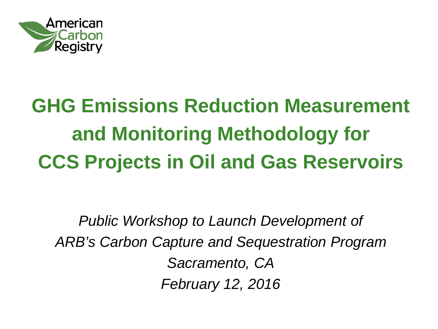

#### **GHG Emissions Reduction Measurement and Monitoring Methodology for CCS Projects in Oil and Gas Reservoirs**

*Public Workshop to Launch Development of ARB's Carbon Capture and Sequestration Program Sacramento, CA February 12, 2016*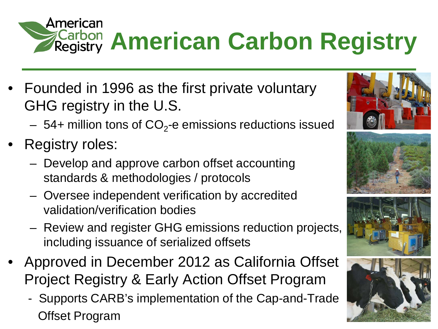

- Founded in 1996 as the first private voluntary GHG registry in the U.S.
	- 54+ million tons of  $CO<sub>2</sub>$ -e emissions reductions issued
- Registry roles:
	- Develop and approve carbon offset accounting standards & methodologies / protocols
	- Oversee independent verification by accredited validation/verification bodies
	- Review and register GHG emissions reduction projects, including issuance of serialized offsets
- Approved in December 2012 as California Offset Project Registry & Early Action Offset Program
	- Supports CARB's implementation of the Cap-and-Trade Offset Program





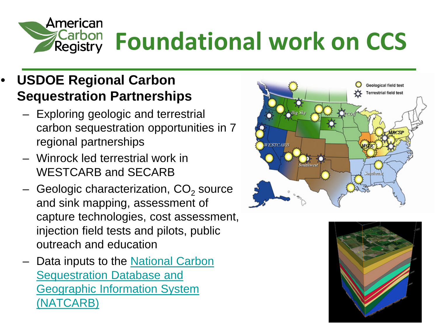

# **Foundational work on CCS**

#### • **USDOE Regional Carbon Sequestration Partnerships**

- Exploring geologic and terrestrial carbon sequestration opportunities in 7 regional partnerships
- Winrock led terrestrial work in WESTCARB and SECARB
- Geologic characterization,  $CO<sub>2</sub>$  source and sink mapping, assessment of capture technologies, cost assessment, injection field tests and pilots, public outreach and education
- Data inputs to the National Carbon [Sequestration Database and](http://www.netl.doe.gov/technologies/carbon_seq/natcarb/index.html)  [Geographic Information System](http://www.netl.doe.gov/technologies/carbon_seq/natcarb/index.html)  [\(NATCARB\)](http://www.netl.doe.gov/technologies/carbon_seq/natcarb/index.html)



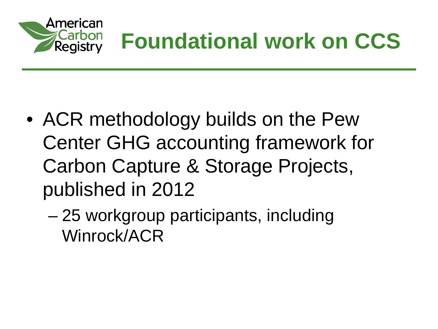

#### **Foundational work on CCS**

- ACR methodology builds on the Pew Center GHG accounting framework for Carbon Capture & Storage Projects, published in 2012
	- 25 workgroup participants, including Winrock/ACR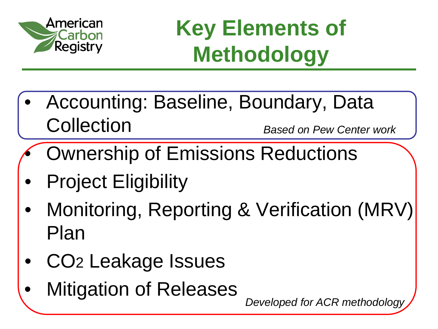

#### **Key Elements of Methodology**

- Accounting: Baseline, Boundary, Data **Collection** *Based on Pew Center work*
- Ownership of Emissions Reductions
- **Project Eligibility**
- Monitoring, Reporting & Verification (MRV) Plan
- CO2 Leakage Issues
- **Mitigation of Releases**

*Developed for ACR methodology*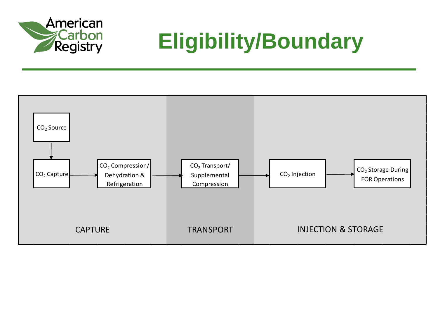

#### **Eligibility/Boundary**

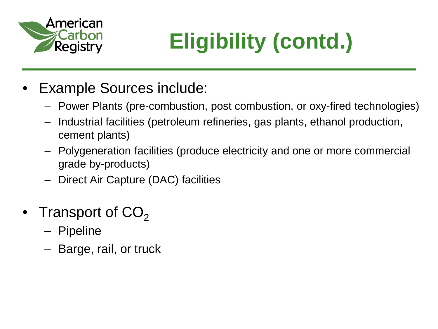

## **Eligibility (contd.)**

- Example Sources include:
	- Power Plants (pre-combustion, post combustion, or oxy-fired technologies)
	- Industrial facilities (petroleum refineries, gas plants, ethanol production, cement plants)
	- Polygeneration facilities (produce electricity and one or more commercial grade by-products)
	- Direct Air Capture (DAC) facilities
- Transport of  $CO<sub>2</sub>$ 
	- Pipeline
	- Barge, rail, or truck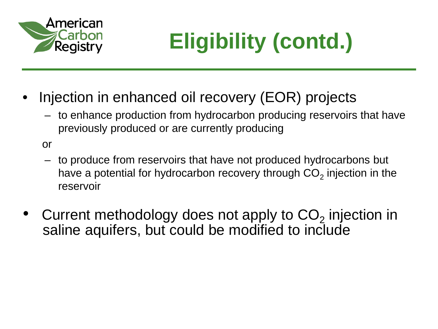

## **Eligibility (contd.)**

- Injection in enhanced oil recovery (EOR) projects
	- to enhance production from hydrocarbon producing reservoirs that have previously produced or are currently producing

or

- to produce from reservoirs that have not produced hydrocarbons but have a potential for hydrocarbon recovery through  $CO<sub>2</sub>$  injection in the reservoir
- Current methodology does not apply to  $CO<sub>2</sub>$  injection in saline aquifers, but could be modified to include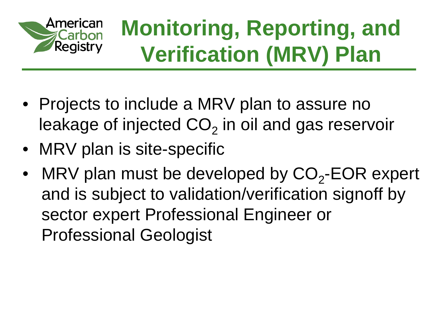

#### **Monitoring, Reporting, and Verification (MRV) Plan**

- Projects to include a MRV plan to assure no leakage of injected  $CO<sub>2</sub>$  in oil and gas reservoir
- MRV plan is site-specific
- MRV plan must be developed by  $CO<sub>2</sub>$ -EOR expert and is subject to validation/verification signoff by sector expert Professional Engineer or Professional Geologist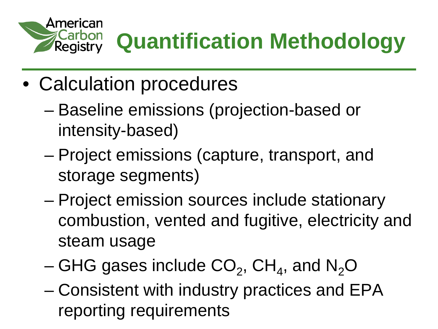

## **Quantification Methodology**

- Calculation procedures
	- Baseline emissions (projection-based or intensity-based)
	- Project emissions (capture, transport, and storage segments)
	- Project emission sources include stationary combustion, vented and fugitive, electricity and steam usage
	- GHG gases include  $CO<sub>2</sub>$ , CH<sub>4</sub>, and N<sub>2</sub>O
	- Consistent with industry practices and EPA reporting requirements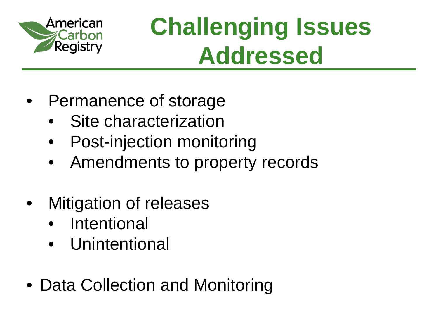

## **Challenging Issues Addressed**

- Permanence of storage
	- Site characterization
	- Post-injection monitoring
	- Amendments to property records
- **Mitigation of releases** 
	- Intentional
	- **Unintentional**
- Data Collection and Monitoring